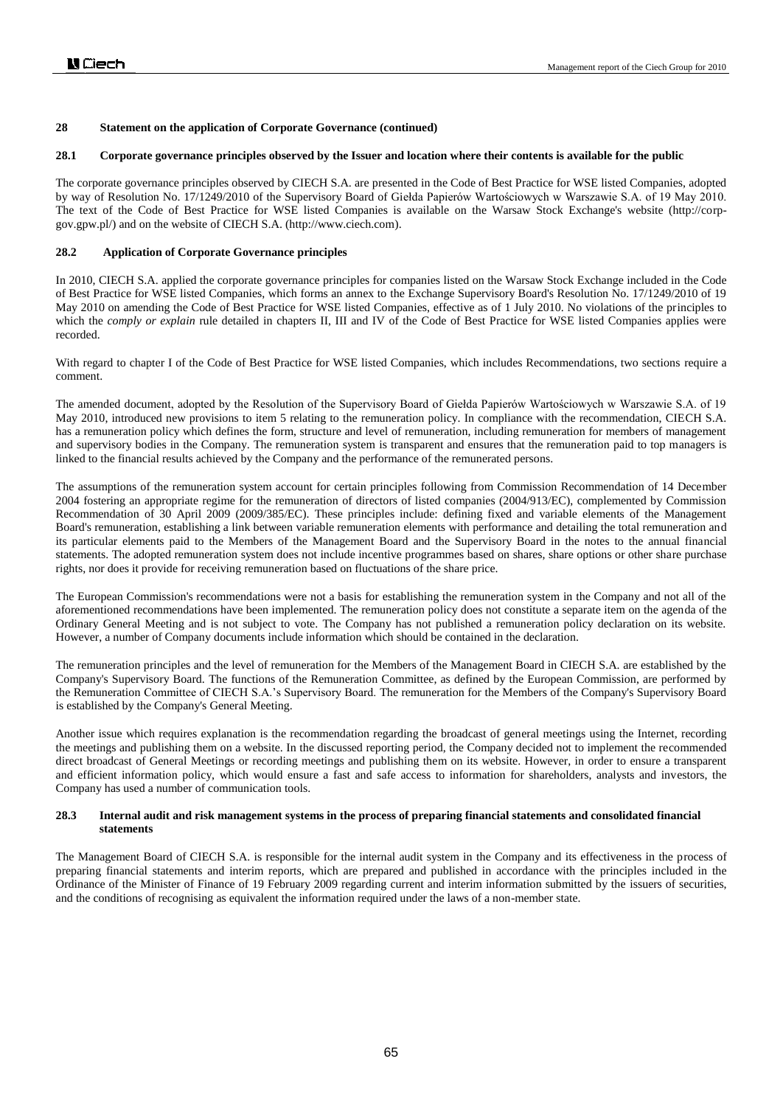### **28.1 Corporate governance principles observed by the Issuer and location where their contents is available for the public**

The corporate governance principles observed by CIECH S.A. are presented in the Code of Best Practice for WSE listed Companies, adopted by way of Resolution No. 17/1249/2010 of the Supervisory Board of Giełda Papierów Wartościowych w Warszawie S.A. of 19 May 2010. The text of the Code of Best Practice for WSE listed Companies is available on the Warsaw Stock Exchange's website (http://corpgov.gpw.pl/) and on the website of CIECH S.A. (http://www.ciech.com).

# **28.2 Application of Corporate Governance principles**

In 2010, CIECH S.A. applied the corporate governance principles for companies listed on the Warsaw Stock Exchange included in the Code of Best Practice for WSE listed Companies, which forms an annex to the Exchange Supervisory Board's Resolution No. 17/1249/2010 of 19 May 2010 on amending the Code of Best Practice for WSE listed Companies, effective as of 1 July 2010. No violations of the principles to which the *comply or explain* rule detailed in chapters II, III and IV of the Code of Best Practice for WSE listed Companies applies were recorded.

With regard to chapter I of the Code of Best Practice for WSE listed Companies, which includes Recommendations, two sections require a comment.

The amended document, adopted by the Resolution of the Supervisory Board of Giełda Papierów Wartościowych w Warszawie S.A. of 19 May 2010, introduced new provisions to item 5 relating to the remuneration policy. In compliance with the recommendation, CIECH S.A. has a remuneration policy which defines the form, structure and level of remuneration, including remuneration for members of management and supervisory bodies in the Company. The remuneration system is transparent and ensures that the remuneration paid to top managers is linked to the financial results achieved by the Company and the performance of the remunerated persons.

The assumptions of the remuneration system account for certain principles following from Commission Recommendation of 14 December 2004 fostering an appropriate regime for the remuneration of directors of listed companies (2004/913/EC), complemented by Commission Recommendation of 30 April 2009 (2009/385/EC). These principles include: defining fixed and variable elements of the Management Board's remuneration, establishing a link between variable remuneration elements with performance and detailing the total remuneration and its particular elements paid to the Members of the Management Board and the Supervisory Board in the notes to the annual financial statements. The adopted remuneration system does not include incentive programmes based on shares, share options or other share purchase rights, nor does it provide for receiving remuneration based on fluctuations of the share price.

The European Commission's recommendations were not a basis for establishing the remuneration system in the Company and not all of the aforementioned recommendations have been implemented. The remuneration policy does not constitute a separate item on the agenda of the Ordinary General Meeting and is not subject to vote. The Company has not published a remuneration policy declaration on its website. However, a number of Company documents include information which should be contained in the declaration.

The remuneration principles and the level of remuneration for the Members of the Management Board in CIECH S.A. are established by the Company's Supervisory Board. The functions of the Remuneration Committee, as defined by the European Commission, are performed by the Remuneration Committee of CIECH S.A.'s Supervisory Board. The remuneration for the Members of the Company's Supervisory Board is established by the Company's General Meeting.

Another issue which requires explanation is the recommendation regarding the broadcast of general meetings using the Internet, recording the meetings and publishing them on a website. In the discussed reporting period, the Company decided not to implement the recommended direct broadcast of General Meetings or recording meetings and publishing them on its website. However, in order to ensure a transparent and efficient information policy, which would ensure a fast and safe access to information for shareholders, analysts and investors, the Company has used a number of communication tools.

### **28.3 Internal audit and risk management systems in the process of preparing financial statements and consolidated financial statements**

The Management Board of CIECH S.A. is responsible for the internal audit system in the Company and its effectiveness in the process of preparing financial statements and interim reports, which are prepared and published in accordance with the principles included in the Ordinance of the Minister of Finance of 19 February 2009 regarding current and interim information submitted by the issuers of securities, and the conditions of recognising as equivalent the information required under the laws of a non-member state.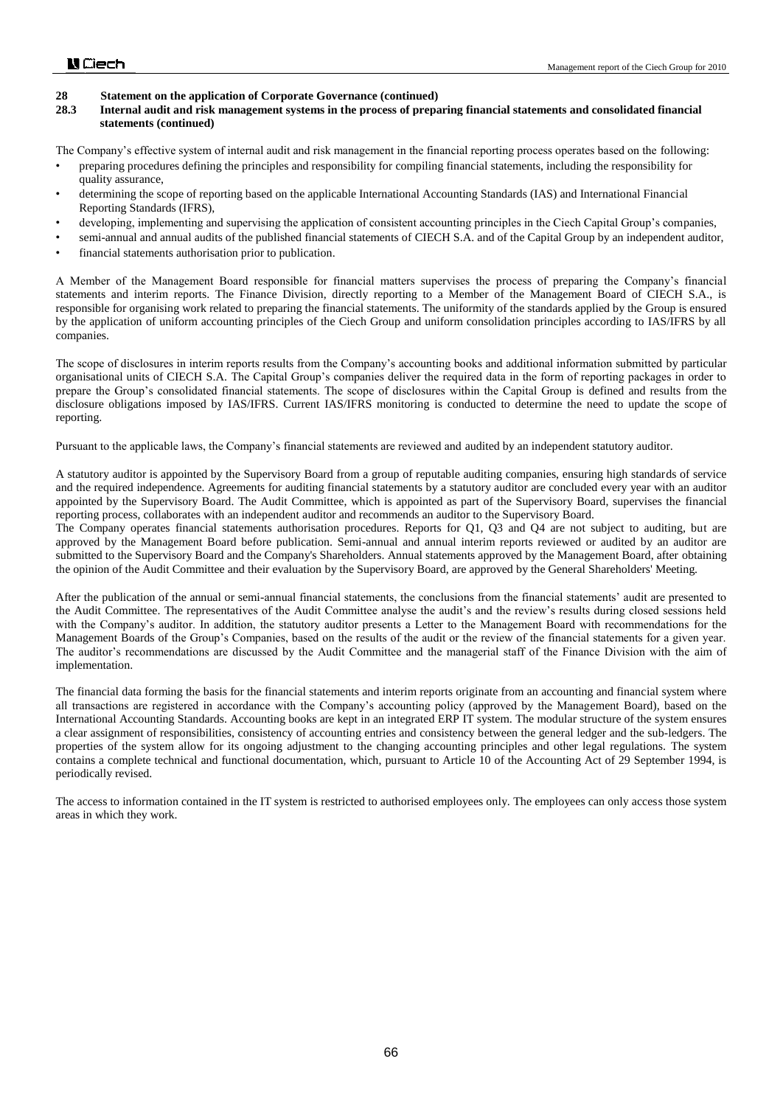### **28.3 Internal audit and risk management systems in the process of preparing financial statements and consolidated financial statements (continued)**

The Company's effective system of internal audit and risk management in the financial reporting process operates based on the following:

- preparing procedures defining the principles and responsibility for compiling financial statements, including the responsibility for quality assurance,
- determining the scope of reporting based on the applicable International Accounting Standards (IAS) and International Financial Reporting Standards (IFRS),
- developing, implementing and supervising the application of consistent accounting principles in the Ciech Capital Group's companies,
- semi-annual and annual audits of the published financial statements of CIECH S.A. and of the Capital Group by an independent auditor,
- financial statements authorisation prior to publication.

A Member of the Management Board responsible for financial matters supervises the process of preparing the Company's financial statements and interim reports. The Finance Division, directly reporting to a Member of the Management Board of CIECH S.A., is responsible for organising work related to preparing the financial statements. The uniformity of the standards applied by the Group is ensured by the application of uniform accounting principles of the Ciech Group and uniform consolidation principles according to IAS/IFRS by all companies.

The scope of disclosures in interim reports results from the Company's accounting books and additional information submitted by particular organisational units of CIECH S.A. The Capital Group's companies deliver the required data in the form of reporting packages in order to prepare the Group's consolidated financial statements. The scope of disclosures within the Capital Group is defined and results from the disclosure obligations imposed by IAS/IFRS. Current IAS/IFRS monitoring is conducted to determine the need to update the scope of reporting.

Pursuant to the applicable laws, the Company's financial statements are reviewed and audited by an independent statutory auditor.

A statutory auditor is appointed by the Supervisory Board from a group of reputable auditing companies, ensuring high standards of service and the required independence. Agreements for auditing financial statements by a statutory auditor are concluded every year with an auditor appointed by the Supervisory Board. The Audit Committee, which is appointed as part of the Supervisory Board, supervises the financial reporting process, collaborates with an independent auditor and recommends an auditor to the Supervisory Board.

The Company operates financial statements authorisation procedures. Reports for Q1, Q3 and Q4 are not subject to auditing, but are approved by the Management Board before publication. Semi-annual and annual interim reports reviewed or audited by an auditor are submitted to the Supervisory Board and the Company's Shareholders. Annual statements approved by the Management Board, after obtaining the opinion of the Audit Committee and their evaluation by the Supervisory Board, are approved by the General Shareholders' Meeting.

After the publication of the annual or semi-annual financial statements, the conclusions from the financial statements' audit are presented to the Audit Committee. The representatives of the Audit Committee analyse the audit's and the review's results during closed sessions held with the Company's auditor. In addition, the statutory auditor presents a Letter to the Management Board with recommendations for the Management Boards of the Group's Companies, based on the results of the audit or the review of the financial statements for a given year. The auditor's recommendations are discussed by the Audit Committee and the managerial staff of the Finance Division with the aim of implementation.

The financial data forming the basis for the financial statements and interim reports originate from an accounting and financial system where all transactions are registered in accordance with the Company's accounting policy (approved by the Management Board), based on the International Accounting Standards. Accounting books are kept in an integrated ERP IT system. The modular structure of the system ensures a clear assignment of responsibilities, consistency of accounting entries and consistency between the general ledger and the sub-ledgers. The properties of the system allow for its ongoing adjustment to the changing accounting principles and other legal regulations. The system contains a complete technical and functional documentation, which, pursuant to Article 10 of the Accounting Act of 29 September 1994, is periodically revised.

The access to information contained in the IT system is restricted to authorised employees only. The employees can only access those system areas in which they work.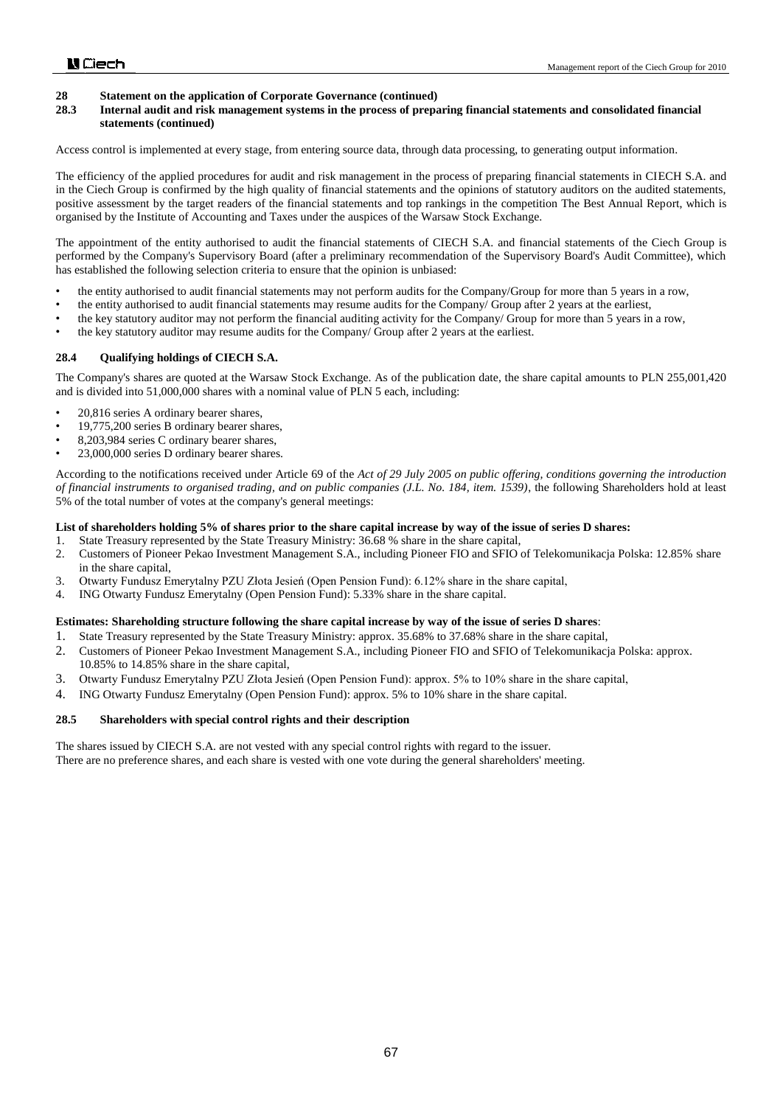# **28 Statement on the application of Corporate Governance (continued)**<br>**28.3 Internal audit and risk management systems in the process of preparation**

#### **28.3 Internal audit and risk management systems in the process of preparing financial statements and consolidated financial statements (continued)**

Access control is implemented at every stage, from entering source data, through data processing, to generating output information.

The efficiency of the applied procedures for audit and risk management in the process of preparing financial statements in CIECH S.A. and in the Ciech Group is confirmed by the high quality of financial statements and the opinions of statutory auditors on the audited statements, positive assessment by the target readers of the financial statements and top rankings in the competition The Best Annual Report, which is organised by the Institute of Accounting and Taxes under the auspices of the Warsaw Stock Exchange.

The appointment of the entity authorised to audit the financial statements of CIECH S.A. and financial statements of the Ciech Group is performed by the Company's Supervisory Board (after a preliminary recommendation of the Supervisory Board's Audit Committee), which has established the following selection criteria to ensure that the opinion is unbiased:

- the entity authorised to audit financial statements may not perform audits for the Company/Group for more than 5 years in a row,
- the entity authorised to audit financial statements may resume audits for the Company/ Group after 2 years at the earliest,
- the key statutory auditor may not perform the financial auditing activity for the Company/ Group for more than 5 years in a row,
- the key statutory auditor may resume audits for the Company/ Group after 2 years at the earliest.

#### **28.4 Qualifying holdings of CIECH S.A.**

The Company's shares are quoted at the Warsaw Stock Exchange. As of the publication date, the share capital amounts to PLN 255,001,420 and is divided into 51,000,000 shares with a nominal value of PLN 5 each, including:

- 20,816 series A ordinary bearer shares,
- 19,775,200 series B ordinary bearer shares,
- 8,203,984 series C ordinary bearer shares,
- 23,000,000 series D ordinary bearer shares.

According to the notifications received under Article 69 of the *Act of 29 July 2005 on public offering, conditions governing the introduction of financial instruments to organised trading, and on public companies (J.L. No. 184, item. 1539)*, the following Shareholders hold at least 5% of the total number of votes at the company's general meetings:

#### **List of shareholders holding 5% of shares prior to the share capital increase by way of the issue of series D shares:**

- 1. State Treasury represented by the State Treasury Ministry: 36.68 % share in the share capital,
- 2. Customers of Pioneer Pekao Investment Management S.A., including Pioneer FIO and SFIO of Telekomunikacja Polska: 12.85% share in the share capital,
- 3. Otwarty Fundusz Emerytalny PZU Złota Jesień (Open Pension Fund): 6.12% share in the share capital,
- 4. ING Otwarty Fundusz Emerytalny (Open Pension Fund): 5.33% share in the share capital.

#### **Estimates: Shareholding structure following the share capital increase by way of the issue of series D shares**:

- 1. State Treasury represented by the State Treasury Ministry: approx. 35.68% to 37.68% share in the share capital,
- 2. Customers of Pioneer Pekao Investment Management S.A., including Pioneer FIO and SFIO of Telekomunikacja Polska: approx. 10.85% to 14.85% share in the share capital,
- 3. Otwarty Fundusz Emerytalny PZU Złota Jesień (Open Pension Fund): approx. 5% to 10% share in the share capital,
- 4. ING Otwarty Fundusz Emerytalny (Open Pension Fund): approx. 5% to 10% share in the share capital.

# **28.5 Shareholders with special control rights and their description**

The shares issued by CIECH S.A. are not vested with any special control rights with regard to the issuer. There are no preference shares, and each share is vested with one vote during the general shareholders' meeting.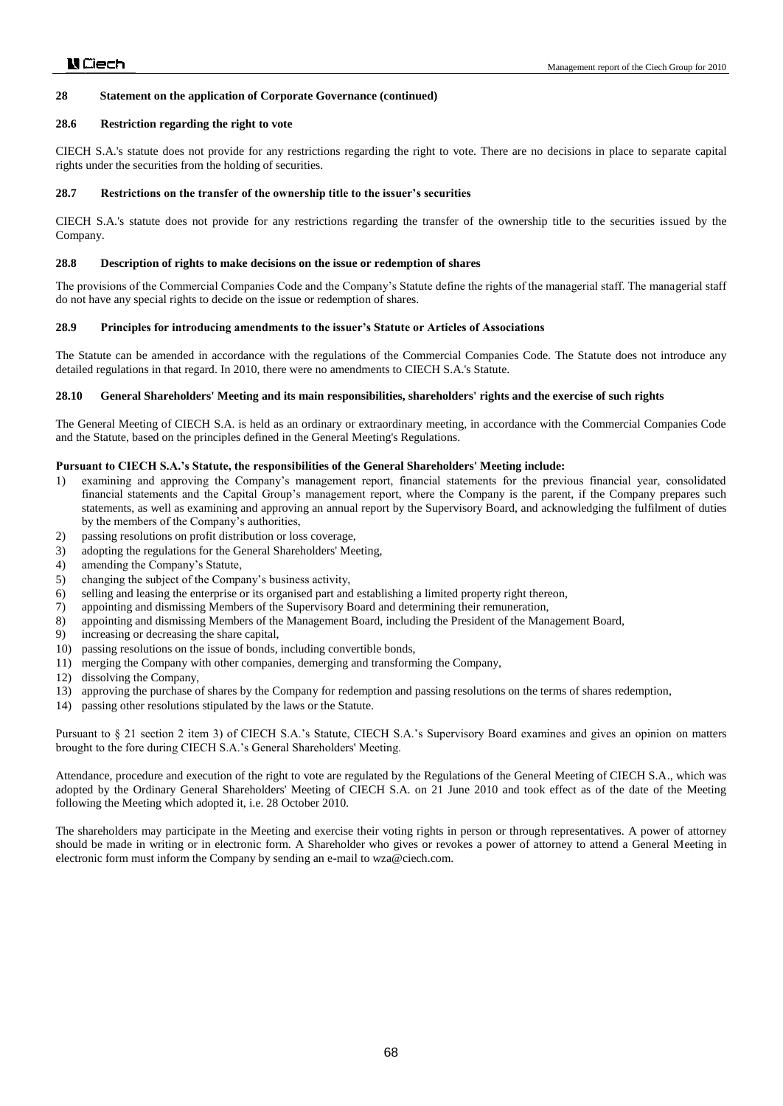#### **28.6 Restriction regarding the right to vote**

CIECH S.A.'s statute does not provide for any restrictions regarding the right to vote. There are no decisions in place to separate capital rights under the securities from the holding of securities.

#### **28.7 Restrictions on the transfer of the ownership title to the issuer's securities**

CIECH S.A.'s statute does not provide for any restrictions regarding the transfer of the ownership title to the securities issued by the Company.

#### **28.8 Description of rights to make decisions on the issue or redemption of shares**

The provisions of the Commercial Companies Code and the Company's Statute define the rights of the managerial staff. The managerial staff do not have any special rights to decide on the issue or redemption of shares.

#### **28.9 Principles for introducing amendments to the issuer's Statute or Articles of Associations**

The Statute can be amended in accordance with the regulations of the Commercial Companies Code. The Statute does not introduce any detailed regulations in that regard. In 2010, there were no amendments to CIECH S.A.'s Statute.

#### **28.10 General Shareholders' Meeting and its main responsibilities, shareholders' rights and the exercise of such rights**

The General Meeting of CIECH S.A. is held as an ordinary or extraordinary meeting, in accordance with the Commercial Companies Code and the Statute, based on the principles defined in the General Meeting's Regulations.

#### **Pursuant to CIECH S.A.'s Statute, the responsibilities of the General Shareholders' Meeting include:**

- 1) examining and approving the Company's management report, financial statements for the previous financial year, consolidated financial statements and the Capital Group's management report, where the Company is the parent, if the Company prepares such statements, as well as examining and approving an annual report by the Supervisory Board, and acknowledging the fulfilment of duties by the members of the Company's authorities,
- 2) passing resolutions on profit distribution or loss coverage,
- 3) adopting the regulations for the General Shareholders' Meeting,
- 4) amending the Company's Statute,
- 5) changing the subject of the Company's business activity,
- 6) selling and leasing the enterprise or its organised part and establishing a limited property right thereon,
- 7) appointing and dismissing Members of the Supervisory Board and determining their remuneration,
- 8) appointing and dismissing Members of the Management Board, including the President of the Management Board,
- 9) increasing or decreasing the share capital,
- 10) passing resolutions on the issue of bonds, including convertible bonds,
- 11) merging the Company with other companies, demerging and transforming the Company,
- 12) dissolving the Company,
- 13) approving the purchase of shares by the Company for redemption and passing resolutions on the terms of shares redemption,
- 14) passing other resolutions stipulated by the laws or the Statute.

Pursuant to § 21 section 2 item 3) of CIECH S.A.'s Statute, CIECH S.A.'s Supervisory Board examines and gives an opinion on matters brought to the fore during CIECH S.A.'s General Shareholders' Meeting.

Attendance, procedure and execution of the right to vote are regulated by the Regulations of the General Meeting of CIECH S.A., which was adopted by the Ordinary General Shareholders' Meeting of CIECH S.A. on 21 June 2010 and took effect as of the date of the Meeting following the Meeting which adopted it, i.e. 28 October 2010.

The shareholders may participate in the Meeting and exercise their voting rights in person or through representatives. A power of attorney should be made in writing or in electronic form. A Shareholder who gives or revokes a power of attorney to attend a General Meeting in electronic form must inform the Company by sending an e-mail to wza@ciech.com.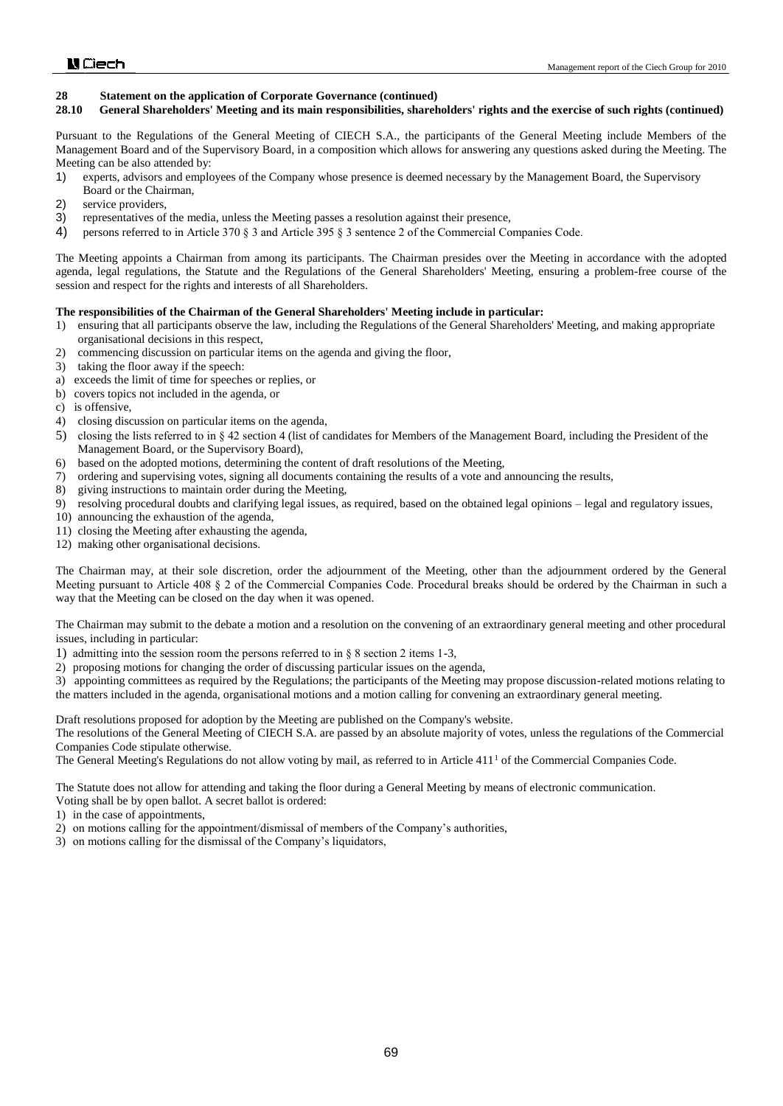#### **28.10 General Shareholders' Meeting and its main responsibilities, shareholders' rights and the exercise of such rights (continued)**

Pursuant to the Regulations of the General Meeting of CIECH S.A., the participants of the General Meeting include Members of the Management Board and of the Supervisory Board, in a composition which allows for answering any questions asked during the Meeting. The Meeting can be also attended by:

- 1) experts, advisors and employees of the Company whose presence is deemed necessary by the Management Board, the Supervisory Board or the Chairman,
- 2) service providers,
- 3) representatives of the media, unless the Meeting passes a resolution against their presence,
- 4) persons referred to in Article 370 § 3 and Article 395 § 3 sentence 2 of the Commercial Companies Code.

The Meeting appoints a Chairman from among its participants. The Chairman presides over the Meeting in accordance with the adopted agenda, legal regulations, the Statute and the Regulations of the General Shareholders' Meeting, ensuring a problem-free course of the session and respect for the rights and interests of all Shareholders.

#### **The responsibilities of the Chairman of the General Shareholders' Meeting include in particular:**

- 1) ensuring that all participants observe the law, including the Regulations of the General Shareholders' Meeting, and making appropriate organisational decisions in this respect,
- 2) commencing discussion on particular items on the agenda and giving the floor,
- 3) taking the floor away if the speech:
- a) exceeds the limit of time for speeches or replies, or
- b) covers topics not included in the agenda, or
- c) is offensive,
- 4) closing discussion on particular items on the agenda,
- 5) closing the lists referred to in § 42 section 4 (list of candidates for Members of the Management Board, including the President of the Management Board, or the Supervisory Board),
- 6) based on the adopted motions, determining the content of draft resolutions of the Meeting,
- 7) ordering and supervising votes, signing all documents containing the results of a vote and announcing the results,
- 8) giving instructions to maintain order during the Meeting,
- 9) resolving procedural doubts and clarifying legal issues, as required, based on the obtained legal opinions legal and regulatory issues,
- 10) announcing the exhaustion of the agenda,
- 11) closing the Meeting after exhausting the agenda,
- 12) making other organisational decisions.

The Chairman may, at their sole discretion, order the adjournment of the Meeting, other than the adjournment ordered by the General Meeting pursuant to Article 408 § 2 of the Commercial Companies Code. Procedural breaks should be ordered by the Chairman in such a way that the Meeting can be closed on the day when it was opened.

The Chairman may submit to the debate a motion and a resolution on the convening of an extraordinary general meeting and other procedural issues, including in particular:

1) admitting into the session room the persons referred to in § 8 section 2 items 1-3,

2) proposing motions for changing the order of discussing particular issues on the agenda,

3) appointing committees as required by the Regulations; the participants of the Meeting may propose discussion-related motions relating to the matters included in the agenda, organisational motions and a motion calling for convening an extraordinary general meeting.

Draft resolutions proposed for adoption by the Meeting are published on the Company's website.

The resolutions of the General Meeting of CIECH S.A. are passed by an absolute majority of votes, unless the regulations of the Commercial Companies Code stipulate otherwise.

The General Meeting's Regulations do not allow voting by mail, as referred to in Article  $411<sup>1</sup>$  of the Commercial Companies Code.

The Statute does not allow for attending and taking the floor during a General Meeting by means of electronic communication.

- Voting shall be by open ballot. A secret ballot is ordered:
- 1) in the case of appointments,
- 2) on motions calling for the appointment/dismissal of members of the Company's authorities,
- 3) on motions calling for the dismissal of the Company's liquidators,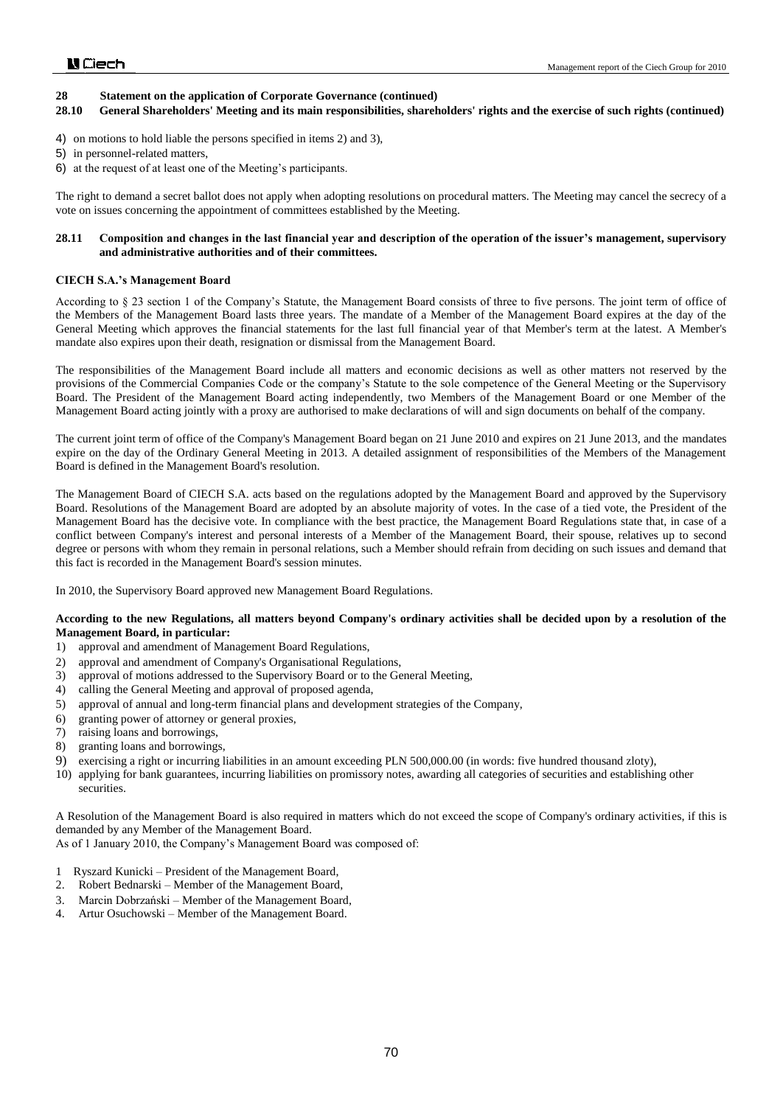#### **28.10 General Shareholders' Meeting and its main responsibilities, shareholders' rights and the exercise of such rights (continued)**

- 4) on motions to hold liable the persons specified in items 2) and 3),
- 5) in personnel-related matters,
- 6) at the request of at least one of the Meeting's participants.

The right to demand a secret ballot does not apply when adopting resolutions on procedural matters. The Meeting may cancel the secrecy of a vote on issues concerning the appointment of committees established by the Meeting.

#### **28.11 Composition and changes in the last financial year and description of the operation of the issuer's management, supervisory and administrative authorities and of their committees.**

#### **CIECH S.A.'s Management Board**

According to § 23 section 1 of the Company's Statute, the Management Board consists of three to five persons. The joint term of office of the Members of the Management Board lasts three years. The mandate of a Member of the Management Board expires at the day of the General Meeting which approves the financial statements for the last full financial year of that Member's term at the latest. A Member's mandate also expires upon their death, resignation or dismissal from the Management Board.

The responsibilities of the Management Board include all matters and economic decisions as well as other matters not reserved by the provisions of the Commercial Companies Code or the company's Statute to the sole competence of the General Meeting or the Supervisory Board. The President of the Management Board acting independently, two Members of the Management Board or one Member of the Management Board acting jointly with a proxy are authorised to make declarations of will and sign documents on behalf of the company.

The current joint term of office of the Company's Management Board began on 21 June 2010 and expires on 21 June 2013, and the mandates expire on the day of the Ordinary General Meeting in 2013. A detailed assignment of responsibilities of the Members of the Management Board is defined in the Management Board's resolution.

The Management Board of CIECH S.A. acts based on the regulations adopted by the Management Board and approved by the Supervisory Board. Resolutions of the Management Board are adopted by an absolute majority of votes. In the case of a tied vote, the President of the Management Board has the decisive vote. In compliance with the best practice, the Management Board Regulations state that, in case of a conflict between Company's interest and personal interests of a Member of the Management Board, their spouse, relatives up to second degree or persons with whom they remain in personal relations, such a Member should refrain from deciding on such issues and demand that this fact is recorded in the Management Board's session minutes.

In 2010, the Supervisory Board approved new Management Board Regulations.

#### **According to the new Regulations, all matters beyond Company's ordinary activities shall be decided upon by a resolution of the Management Board, in particular:**

- 1) approval and amendment of Management Board Regulations,
- 2) approval and amendment of Company's Organisational Regulations,
- 3) approval of motions addressed to the Supervisory Board or to the General Meeting,
- 4) calling the General Meeting and approval of proposed agenda,
- 5) approval of annual and long-term financial plans and development strategies of the Company,
- 6) granting power of attorney or general proxies,
- 7) raising loans and borrowings,
- 8) granting loans and borrowings,
- 9) exercising a right or incurring liabilities in an amount exceeding PLN 500,000.00 (in words: five hundred thousand zloty),
- 10) applying for bank guarantees, incurring liabilities on promissory notes, awarding all categories of securities and establishing other securities.

A Resolution of the Management Board is also required in matters which do not exceed the scope of Company's ordinary activities, if this is demanded by any Member of the Management Board.

As of 1 January 2010, the Company's Management Board was composed of:

- 1 Ryszard Kunicki President of the Management Board,
- 2. Robert Bednarski Member of the Management Board,
- 3. Marcin Dobrzański Member of the Management Board,
- 4. Artur Osuchowski Member of the Management Board.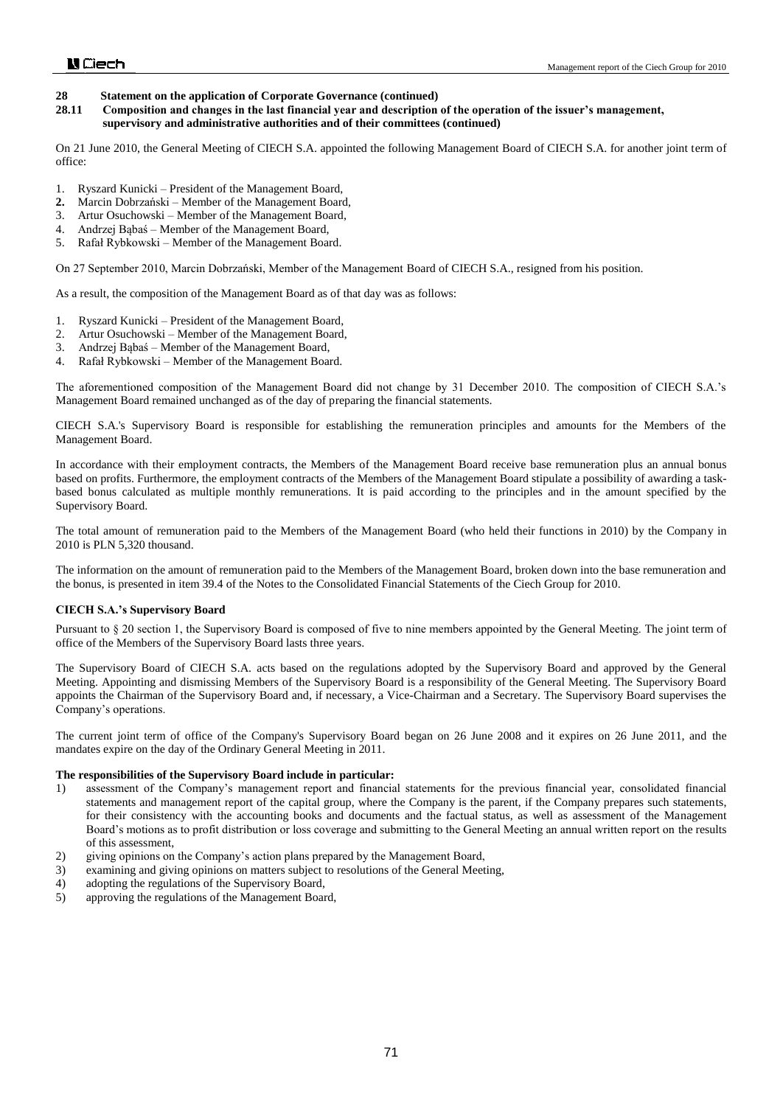**28.11 Composition and changes in the last financial year and description of the operation of the issuer's management, supervisory and administrative authorities and of their committees (continued)**

On 21 June 2010, the General Meeting of CIECH S.A. appointed the following Management Board of CIECH S.A. for another joint term of office:

- 1. Ryszard Kunicki President of the Management Board,
- **2.** Marcin Dobrzański Member of the Management Board,
- 3. Artur Osuchowski Member of the Management Board,
- 4. Andrzej Bąbaś Member of the Management Board,
- 5. Rafał Rybkowski Member of the Management Board.

On 27 September 2010, Marcin Dobrzański, Member of the Management Board of CIECH S.A., resigned from his position.

As a result, the composition of the Management Board as of that day was as follows:

- 1. Ryszard Kunicki President of the Management Board,
- 2. Artur Osuchowski Member of the Management Board,
- 3. Andrzej Bąbaś Member of the Management Board,
- 4. Rafał Rybkowski Member of the Management Board.

The aforementioned composition of the Management Board did not change by 31 December 2010. The composition of CIECH S.A.'s Management Board remained unchanged as of the day of preparing the financial statements.

CIECH S.A.'s Supervisory Board is responsible for establishing the remuneration principles and amounts for the Members of the Management Board.

In accordance with their employment contracts, the Members of the Management Board receive base remuneration plus an annual bonus based on profits. Furthermore, the employment contracts of the Members of the Management Board stipulate a possibility of awarding a taskbased bonus calculated as multiple monthly remunerations. It is paid according to the principles and in the amount specified by the Supervisory Board.

The total amount of remuneration paid to the Members of the Management Board (who held their functions in 2010) by the Company in 2010 is PLN 5,320 thousand.

The information on the amount of remuneration paid to the Members of the Management Board, broken down into the base remuneration and the bonus, is presented in item 39.4 of the Notes to the Consolidated Financial Statements of the Ciech Group for 2010.

#### **CIECH S.A.'s Supervisory Board**

Pursuant to § 20 section 1, the Supervisory Board is composed of five to nine members appointed by the General Meeting. The joint term of office of the Members of the Supervisory Board lasts three years.

The Supervisory Board of CIECH S.A. acts based on the regulations adopted by the Supervisory Board and approved by the General Meeting. Appointing and dismissing Members of the Supervisory Board is a responsibility of the General Meeting. The Supervisory Board appoints the Chairman of the Supervisory Board and, if necessary, a Vice-Chairman and a Secretary. The Supervisory Board supervises the Company's operations.

The current joint term of office of the Company's Supervisory Board began on 26 June 2008 and it expires on 26 June 2011, and the mandates expire on the day of the Ordinary General Meeting in 2011.

#### **The responsibilities of the Supervisory Board include in particular:**

- 1) assessment of the Company's management report and financial statements for the previous financial year, consolidated financial statements and management report of the capital group, where the Company is the parent, if the Company prepares such statements, for their consistency with the accounting books and documents and the factual status, as well as assessment of the Management Board's motions as to profit distribution or loss coverage and submitting to the General Meeting an annual written report on the results of this assessment,
- 2) giving opinions on the Company's action plans prepared by the Management Board,
- 3) examining and giving opinions on matters subject to resolutions of the General Meeting,
- 4) adopting the regulations of the Supervisory Board,
- 5) approving the regulations of the Management Board,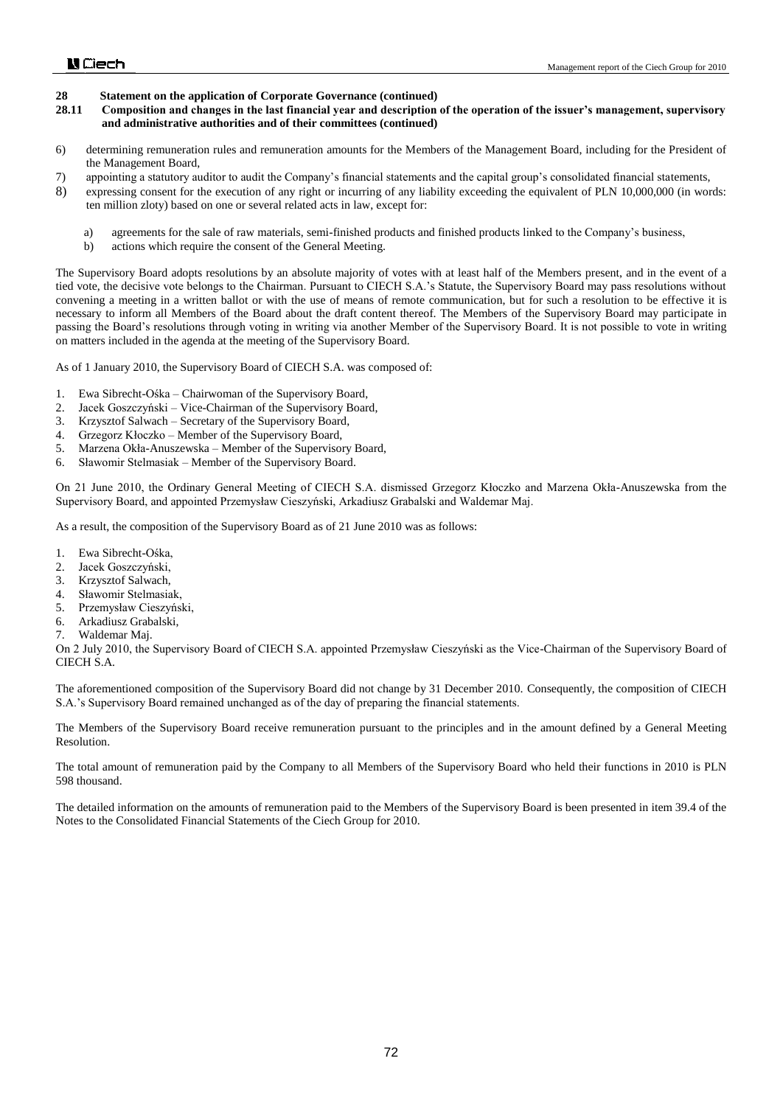- **28.11 Composition and changes in the last financial year and description of the operation of the issuer's management, supervisory and administrative authorities and of their committees (continued)**
- 6) determining remuneration rules and remuneration amounts for the Members of the Management Board, including for the President of the Management Board,
- 7) appointing a statutory auditor to audit the Company's financial statements and the capital group's consolidated financial statements,
- 8) expressing consent for the execution of any right or incurring of any liability exceeding the equivalent of PLN 10,000,000 (in words: ten million zloty) based on one or several related acts in law, except for:
	- a) agreements for the sale of raw materials, semi-finished products and finished products linked to the Company's business,
	- b) actions which require the consent of the General Meeting.

The Supervisory Board adopts resolutions by an absolute majority of votes with at least half of the Members present, and in the event of a tied vote, the decisive vote belongs to the Chairman. Pursuant to CIECH S.A.'s Statute, the Supervisory Board may pass resolutions without convening a meeting in a written ballot or with the use of means of remote communication, but for such a resolution to be effective it is necessary to inform all Members of the Board about the draft content thereof. The Members of the Supervisory Board may participate in passing the Board's resolutions through voting in writing via another Member of the Supervisory Board. It is not possible to vote in writing on matters included in the agenda at the meeting of the Supervisory Board.

As of 1 January 2010, the Supervisory Board of CIECH S.A. was composed of:

- 1. Ewa Sibrecht-Ośka Chairwoman of the Supervisory Board,
- 2. Jacek Goszczyński Vice-Chairman of the Supervisory Board,
- 3. Krzysztof Salwach Secretary of the Supervisory Board,
- 4. Grzegorz Kłoczko Member of the Supervisory Board,
- 5. Marzena Okła-Anuszewska Member of the Supervisory Board,
- 6. Sławomir Stelmasiak Member of the Supervisory Board.

On 21 June 2010, the Ordinary General Meeting of CIECH S.A. dismissed Grzegorz Kłoczko and Marzena Okła-Anuszewska from the Supervisory Board, and appointed Przemysław Cieszyński, Arkadiusz Grabalski and Waldemar Maj.

As a result, the composition of the Supervisory Board as of 21 June 2010 was as follows:

- 1. Ewa Sibrecht-Ośka,
- 2. Jacek Goszczyński,
- 
- 3. Krzysztof Salwach, Sławomir Stelmasiak,
- 5. Przemysław Cieszyński,
- 6. Arkadiusz Grabalski,
- 7. Waldemar Maj.

On 2 July 2010, the Supervisory Board of CIECH S.A. appointed Przemysław Cieszyński as the Vice-Chairman of the Supervisory Board of CIECH S.A.

The aforementioned composition of the Supervisory Board did not change by 31 December 2010. Consequently, the composition of CIECH S.A.'s Supervisory Board remained unchanged as of the day of preparing the financial statements.

The Members of the Supervisory Board receive remuneration pursuant to the principles and in the amount defined by a General Meeting Resolution.

The total amount of remuneration paid by the Company to all Members of the Supervisory Board who held their functions in 2010 is PLN 598 thousand.

The detailed information on the amounts of remuneration paid to the Members of the Supervisory Board is been presented in item 39.4 of the Notes to the Consolidated Financial Statements of the Ciech Group for 2010.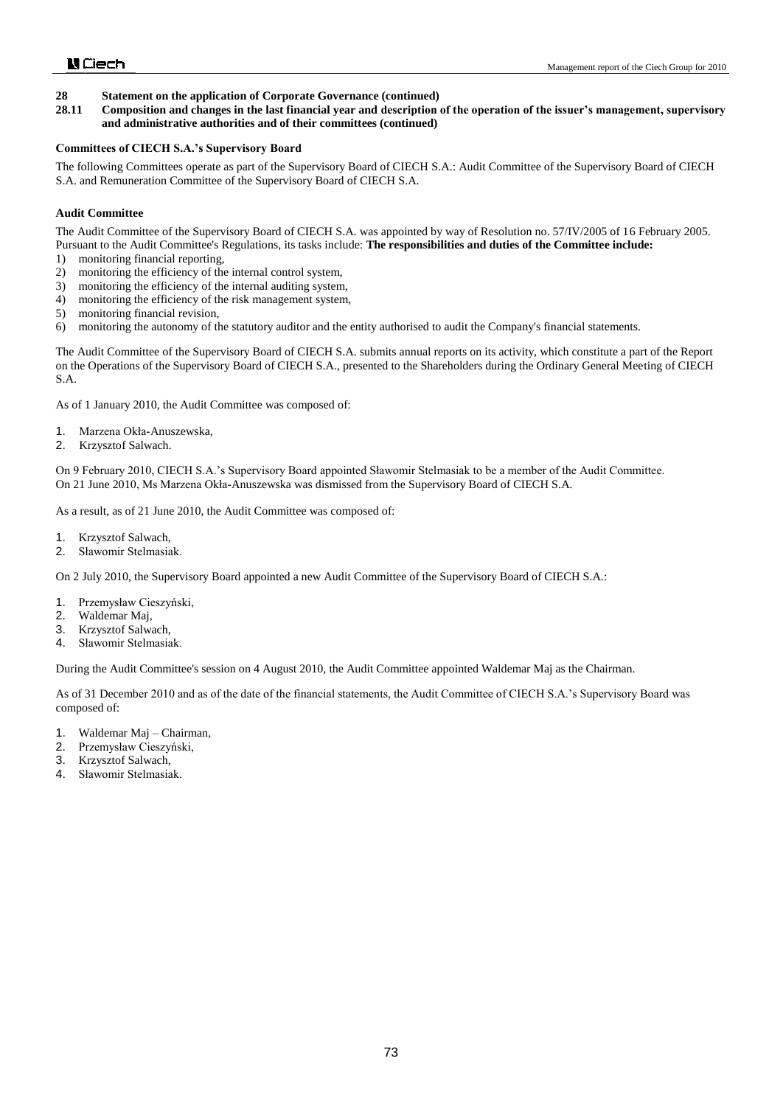**28.11 Composition and changes in the last financial year and description of the operation of the issuer's management, supervisory and administrative authorities and of their committees (continued)**

#### **Committees of CIECH S.A.'s Supervisory Board**

The following Committees operate as part of the Supervisory Board of CIECH S.A.: Audit Committee of the Supervisory Board of CIECH S.A. and Remuneration Committee of the Supervisory Board of CIECH S.A.

#### **Audit Committee**

The Audit Committee of the Supervisory Board of CIECH S.A. was appointed by way of Resolution no. 57/IV/2005 of 16 February 2005. Pursuant to the Audit Committee's Regulations, its tasks include: **The responsibilities and duties of the Committee include:**

- 1) monitoring financial reporting,
- 2) monitoring the efficiency of the internal control system,
- 3) monitoring the efficiency of the internal auditing system,
- 4) monitoring the efficiency of the risk management system,
- 5) monitoring financial revision,
- 6) monitoring the autonomy of the statutory auditor and the entity authorised to audit the Company's financial statements.

The Audit Committee of the Supervisory Board of CIECH S.A. submits annual reports on its activity, which constitute a part of the Report on the Operations of the Supervisory Board of CIECH S.A., presented to the Shareholders during the Ordinary General Meeting of CIECH S.A.

As of 1 January 2010, the Audit Committee was composed of:

- 1. Marzena Okła-Anuszewska,
- 2. Krzysztof Salwach.

On 9 February 2010, CIECH S.A.'s Supervisory Board appointed Sławomir Stelmasiak to be a member of the Audit Committee. On 21 June 2010, Ms Marzena Okła-Anuszewska was dismissed from the Supervisory Board of CIECH S.A.

As a result, as of 21 June 2010, the Audit Committee was composed of:

- 1. Krzysztof Salwach,
- 2. Sławomir Stelmasiak.

On 2 July 2010, the Supervisory Board appointed a new Audit Committee of the Supervisory Board of CIECH S.A.:

- 1. Przemysław Cieszyński,
- 2. Waldemar Maj,
- 3. Krzysztof Salwach,
- 4. Sławomir Stelmasiak.

During the Audit Committee's session on 4 August 2010, the Audit Committee appointed Waldemar Maj as the Chairman.

As of 31 December 2010 and as of the date of the financial statements, the Audit Committee of CIECH S.A.'s Supervisory Board was composed of:

- 1. Waldemar Maj Chairman,
- 2. Przemysław Cieszyński,
- 3. Krzysztof Salwach,
- 4. Sławomir Stelmasiak.